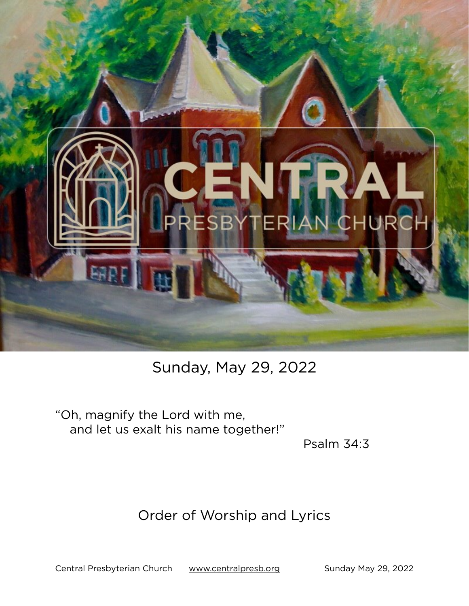

# Sunday, May 29, 2022

"Oh, magnify the Lord with me, and let us exalt his name together!"

Psalm 34:3

# Order of Worship and Lyrics

Central Presbyterian Church [www.centralpresb.org](http://www.centralpresb.org) Sunday May 29, 2022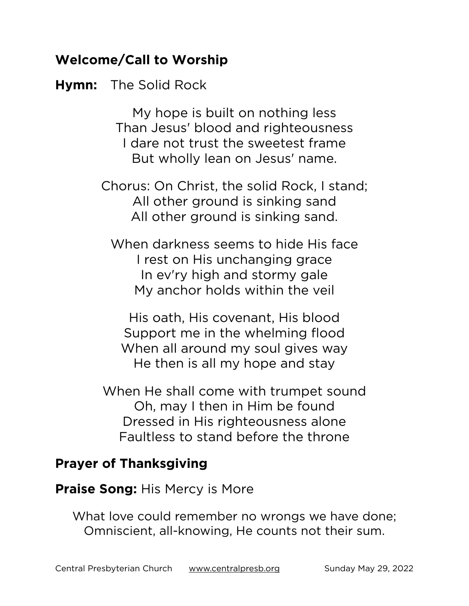# **Welcome/Call to Worship**

#### **Hymn:** The Solid Rock

My hope is built on nothing less Than Jesus' blood and righteousness I dare not trust the sweetest frame But wholly lean on Jesus' name.

Chorus: On Christ, the solid Rock, I stand; All other ground is sinking sand All other ground is sinking sand.

When darkness seems to hide His face I rest on His unchanging grace In ev'ry high and stormy gale My anchor holds within the veil

His oath, His covenant, His blood Support me in the whelming flood When all around my soul gives way He then is all my hope and stay

When He shall come with trumpet sound Oh, may I then in Him be found Dressed in His righteousness alone Faultless to stand before the throne

#### **Prayer of Thanksgiving**

**Praise Song:** His Mercy is More

What love could remember no wrongs we have done; Omniscient, all-knowing, He counts not their sum.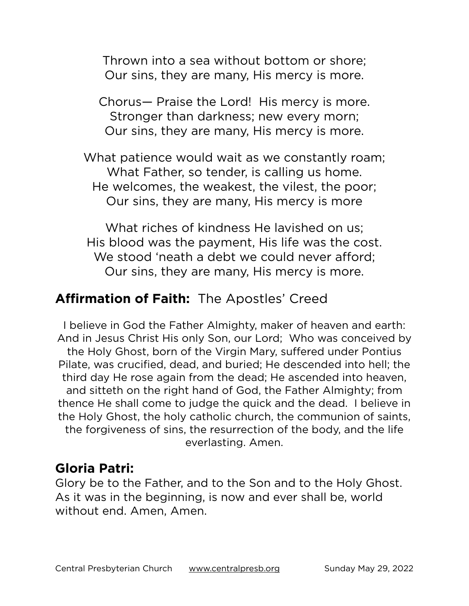Thrown into a sea without bottom or shore; Our sins, they are many, His mercy is more.

Chorus— Praise the Lord! His mercy is more. Stronger than darkness; new every morn; Our sins, they are many, His mercy is more.

What patience would wait as we constantly roam; What Father, so tender, is calling us home. He welcomes, the weakest, the vilest, the poor; Our sins, they are many, His mercy is more

What riches of kindness He lavished on us; His blood was the payment, His life was the cost. We stood 'neath a debt we could never afford: Our sins, they are many, His mercy is more.

# **Affirmation of Faith:** The Apostles' Creed

I believe in God the Father Almighty, maker of heaven and earth: And in Jesus Christ His only Son, our Lord; Who was conceived by the Holy Ghost, born of the Virgin Mary, suffered under Pontius Pilate, was crucified, dead, and buried; He descended into hell; the third day He rose again from the dead; He ascended into heaven, and sitteth on the right hand of God, the Father Almighty; from thence He shall come to judge the quick and the dead. I believe in the Holy Ghost, the holy catholic church, the communion of saints, the forgiveness of sins, the resurrection of the body, and the life everlasting. Amen.

### **Gloria Patri:**

Glory be to the Father, and to the Son and to the Holy Ghost. As it was in the beginning, is now and ever shall be, world without end. Amen, Amen.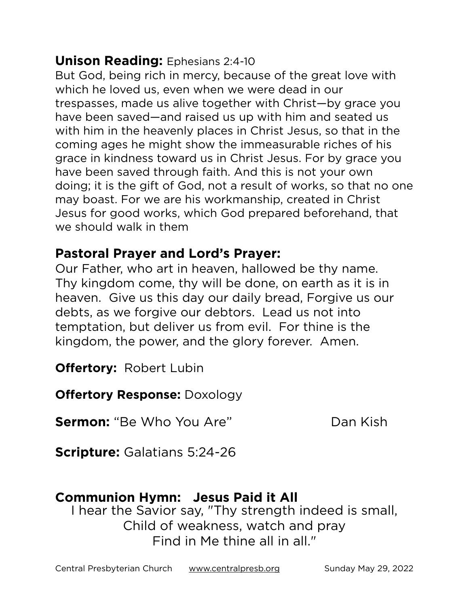#### **Unison Reading:** Ephesians 2:4-10

But God, being rich in mercy, because of the great love with which he loved us, even when we were dead in our trespasses, made us alive together with Christ—by grace you have been saved—and raised us up with him and seated us with him in the heavenly places in Christ Jesus, so that in the coming ages he might show the immeasurable riches of his grace in kindness toward us in Christ Jesus. For by grace you have been saved through faith. And this is not your own doing; it is the gift of God, not a result of works, so that no one may boast. For we are his workmanship, created in Christ Jesus for good works, which God prepared beforehand, that we should walk in them

#### **Pastoral Prayer and Lord's Prayer:**

Our Father, who art in heaven, hallowed be thy name. Thy kingdom come, thy will be done, on earth as it is in heaven. Give us this day our daily bread, Forgive us our debts, as we forgive our debtors. Lead us not into temptation, but deliver us from evil. For thine is the kingdom, the power, and the glory forever. Amen.

**Offertory:** Robert Lubin

**Offertory Response:** Doxology

**Sermon:** "Be Who You Are" Dan Kish

**Scripture:** Galatians 5:24-26

# **Communion Hymn: Jesus Paid it All**

I hear the Savior say, "Thy strength indeed is small, Child of weakness, watch and pray Find in Me thine all in all."

Central Presbyterian Church [www.centralpresb.org](http://www.centralpresb.org) Sunday May 29, 2022